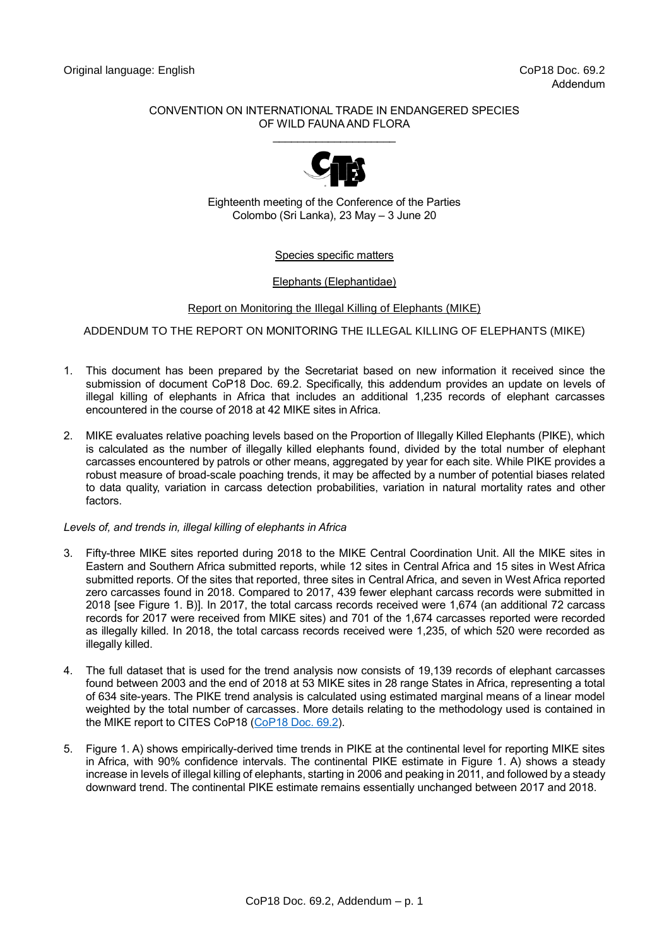# CONVENTION ON INTERNATIONAL TRADE IN ENDANGERED SPECIES OF WILD FAUNA AND FLORA \_\_\_\_\_\_\_\_\_\_\_\_\_\_\_\_\_\_\_\_



Eighteenth meeting of the Conference of the Parties Colombo (Sri Lanka), 23 May – 3 June 20

## Species specific matters

## Elephants (Elephantidae)

## Report on Monitoring the Illegal Killing of Elephants (MIKE)

## ADDENDUM TO THE REPORT ON MONITORING THE ILLEGAL KILLING OF ELEPHANTS (MIKE)

- 1. This document has been prepared by the Secretariat based on new information it received since the submission of document CoP18 Doc. 69.2. Specifically, this addendum provides an update on levels of illegal killing of elephants in Africa that includes an additional 1,235 records of elephant carcasses encountered in the course of 2018 at 42 MIKE sites in Africa.
- 2. MIKE evaluates relative poaching levels based on the Proportion of Illegally Killed Elephants (PIKE), which is calculated as the number of illegally killed elephants found, divided by the total number of elephant carcasses encountered by patrols or other means, aggregated by year for each site. While PIKE provides a robust measure of broad-scale poaching trends, it may be affected by a number of potential biases related to data quality, variation in carcass detection probabilities, variation in natural mortality rates and other factors.

#### *Levels of, and trends in, illegal killing of elephants in Africa*

- 3. Fifty-three MIKE sites reported during 2018 to the MIKE Central Coordination Unit. All the MIKE sites in Eastern and Southern Africa submitted reports, while 12 sites in Central Africa and 15 sites in West Africa submitted reports. Of the sites that reported, three sites in Central Africa, and seven in West Africa reported zero carcasses found in 2018. Compared to 2017, 439 fewer elephant carcass records were submitted in 2018 [see Figure 1. B)]. In 2017, the total carcass records received were 1,674 (an additional 72 carcass records for 2017 were received from MIKE sites) and 701 of the 1,674 carcasses reported were recorded as illegally killed. In 2018, the total carcass records received were 1,235, of which 520 were recorded as illegally killed.
- 4. The full dataset that is used for the trend analysis now consists of 19,139 records of elephant carcasses found between 2003 and the end of 2018 at 53 MIKE sites in 28 range States in Africa, representing a total of 634 site-years. The PIKE trend analysis is calculated using estimated marginal means of a linear model weighted by the total number of carcasses. More details relating to the methodology used is contained in the MIKE report to CITES CoP18 [\(CoP18 Doc.](https://cites.org/sites/default/files/eng/cop/18/doc/E-CoP18-069-02.pdf) 69.2).
- 5. Figure 1. A) shows empirically-derived time trends in PIKE at the continental level for reporting MIKE sites in Africa, with 90% confidence intervals. The continental PIKE estimate in Figure 1. A) shows a steady increase in levels of illegal killing of elephants, starting in 2006 and peaking in 2011, and followed by a steady downward trend. The continental PIKE estimate remains essentially unchanged between 2017 and 2018.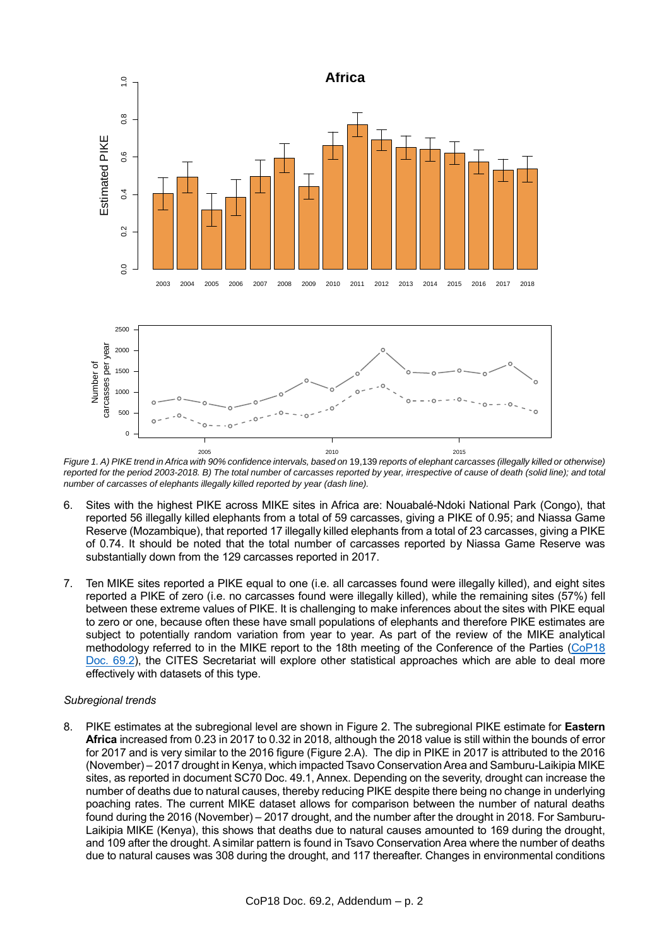

*Figure 1. A) PIKE trend in Africa with 90% confidence intervals, based on* 19,139 *reports of elephant carcasses (illegally killed or otherwise)*  2005 2010 2015 *reported for the period 2003-2018. B) The total number of carcasses reported by year, irrespective of cause of death (solid line); and total number of carcasses of elephants illegally killed reported by year (dash line).* 

- 6. Sites with the highest PIKE across MIKE sites in Africa are: Nouabalé-Ndoki National Park (Congo), that reported 56 illegally killed elephants from a total of 59 carcasses, giving a PIKE of 0.95; and Niassa Game Reserve (Mozambique), that reported 17 illegally killed elephants from a total of 23 carcasses, giving a PIKE of 0.74. It should be noted that the total number of carcasses reported by Niassa Game Reserve was substantially down from the 129 carcasses reported in 2017.
- 7. Ten MIKE sites reported a PIKE equal to one (i.e. all carcasses found were illegally killed), and eight sites reported a PIKE of zero (i.e. no carcasses found were illegally killed), while the remaining sites (57%) fell between these extreme values of PIKE. It is challenging to make inferences about the sites with PIKE equal to zero or one, because often these have small populations of elephants and therefore PIKE estimates are subject to potentially random variation from year to year. As part of the review of the MIKE analytical methodology referred to in the MIKE report to the 18th meeting of the Conference of the Parties [\(CoP18](https://cites.org/sites/default/files/eng/cop/18/doc/E-CoP18-069-02.pdf)  Doc. [69.2\)](https://cites.org/sites/default/files/eng/cop/18/doc/E-CoP18-069-02.pdf), the CITES Secretariat will explore other statistical approaches which are able to deal more effectively with datasets of this type.

#### *Subregional trends*

8. PIKE estimates at the subregional level are shown in Figure 2. The subregional PIKE estimate for **Eastern Africa** increased from 0.23 in 2017 to 0.32 in 2018, although the 2018 value is still within the bounds of error for 2017 and is very similar to the 2016 figure (Figure 2.A). The dip in PIKE in 2017 is attributed to the 2016 (November) – 2017 drought in Kenya, which impacted Tsavo Conservation Area and Samburu-Laikipia MIKE sites, as reported in document SC70 Doc. 49.1, Annex. Depending on the severity, drought can increase the number of deaths due to natural causes, thereby reducing PIKE despite there being no change in underlying poaching rates. The current MIKE dataset allows for comparison between the number of natural deaths found during the 2016 (November) – 2017 drought, and the number after the drought in 2018. For Samburu-Laikipia MIKE (Kenya), this shows that deaths due to natural causes amounted to 169 during the drought, and 109 after the drought. A similar pattern is found in Tsavo Conservation Area where the number of deaths due to natural causes was 308 during the drought, and 117 thereafter. Changes in environmental conditions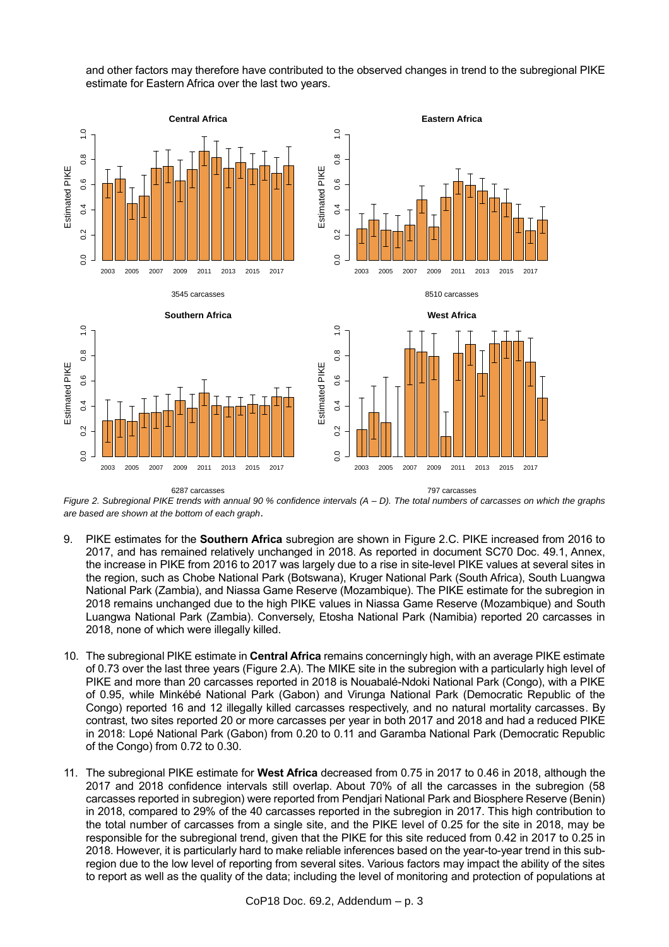and other factors may therefore have contributed to the observed changes in trend to the subregional PIKE estimate for Eastern Africa over the last two years.



6287 carcasses

797 carcasses

*Figure 2. Subregional PIKE trends with annual 90 % confidence intervals (A – D). The total numbers of carcasses on which the graphs are based are shown at the bottom of each graph*.

- 9. PIKE estimates for the **Southern Africa** subregion are shown in Figure 2.C. PIKE increased from 2016 to 2017, and has remained relatively unchanged in 2018. As reported in document SC70 Doc. 49.1, Annex, the increase in PIKE from 2016 to 2017 was largely due to a rise in site-level PIKE values at several sites in the region, such as Chobe National Park (Botswana), Kruger National Park (South Africa), South Luangwa National Park (Zambia), and Niassa Game Reserve (Mozambique). The PIKE estimate for the subregion in 2018 remains unchanged due to the high PIKE values in Niassa Game Reserve (Mozambique) and South Luangwa National Park (Zambia). Conversely, Etosha National Park (Namibia) reported 20 carcasses in 2018, none of which were illegally killed.
- 10. The subregional PIKE estimate in **Central Africa** remains concerningly high, with an average PIKE estimate of 0.73 over the last three years (Figure 2.A). The MIKE site in the subregion with a particularly high level of PIKE and more than 20 carcasses reported in 2018 is Nouabalé-Ndoki National Park (Congo), with a PIKE of 0.95, while Minkébé National Park (Gabon) and Virunga National Park (Democratic Republic of the Congo) reported 16 and 12 illegally killed carcasses respectively, and no natural mortality carcasses. By contrast, two sites reported 20 or more carcasses per year in both 2017 and 2018 and had a reduced PIKE in 2018: Lopé National Park (Gabon) from 0.20 to 0.11 and Garamba National Park (Democratic Republic of the Congo) from 0.72 to 0.30.
- 11. The subregional PIKE estimate for **West Africa** decreased from 0.75 in 2017 to 0.46 in 2018, although the 2017 and 2018 confidence intervals still overlap. About 70% of all the carcasses in the subregion (58 carcasses reported in subregion) were reported from Pendjari National Park and Biosphere Reserve (Benin) in 2018, compared to 29% of the 40 carcasses reported in the subregion in 2017. This high contribution to the total number of carcasses from a single site, and the PIKE level of 0.25 for the site in 2018, may be responsible for the subregional trend, given that the PIKE for this site reduced from 0.42 in 2017 to 0.25 in 2018. However, it is particularly hard to make reliable inferences based on the year-to-year trend in this subregion due to the low level of reporting from several sites. Various factors may impact the ability of the sites to report as well as the quality of the data; including the level of monitoring and protection of populations at